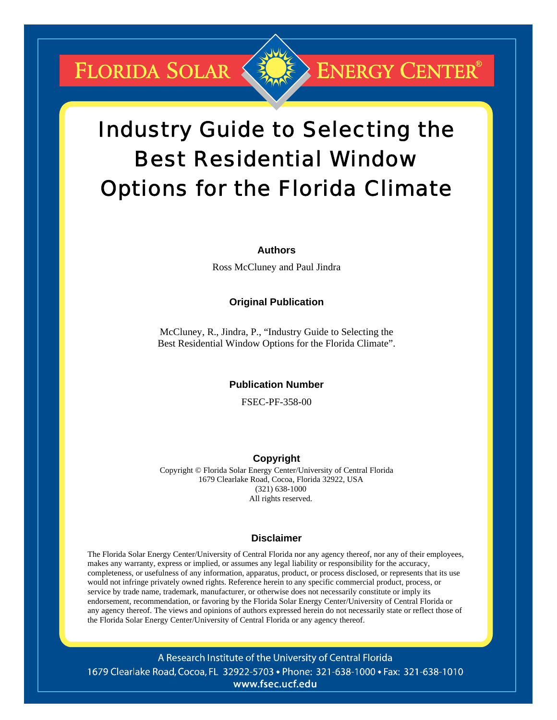**FLORIDA SOLAR &** 

## **ENERGY CENTER®**

# Industry Guide to Selecting the Best Residential Window Options for the Florida Climate

#### **Authors**

Ross McCluney and Paul Jindra

#### **Original Publication**

McCluney, R., Jindra, P., "Industry Guide to Selecting the Best Residential Window Options for the Florida Climate".

#### **Publication Number**

FSEC-PF-358-00

#### **Copyright**

Copyright © Florida Solar Energy Center/University of Central Florida 1679 Clearlake Road, Cocoa, Florida 32922, USA (321) 638-1000 All rights reserved.

#### **Disclaimer**

The Florida Solar Energy Center/University of Central Florida nor any agency thereof, nor any of their employees, makes any warranty, express or implied, or assumes any legal liability or responsibility for the accuracy, completeness, or usefulness of any information, apparatus, product, or process disclosed, or represents that its use would not infringe privately owned rights. Reference herein to any specific commercial product, process, or service by trade name, trademark, manufacturer, or otherwise does not necessarily constitute or imply its endorsement, recommendation, or favoring by the Florida Solar Energy Center/University of Central Florida or any agency thereof. The views and opinions of authors expressed herein do not necessarily state or reflect those of the Florida Solar Energy Center/University of Central Florida or any agency thereof.

A Research Institute of the University of Central Florida 1679 Clearlake Road, Cocoa, FL 32922-5703 • Phone: 321-638-1000 • Fax: 321-638-1010 www.fsec.ucf.edu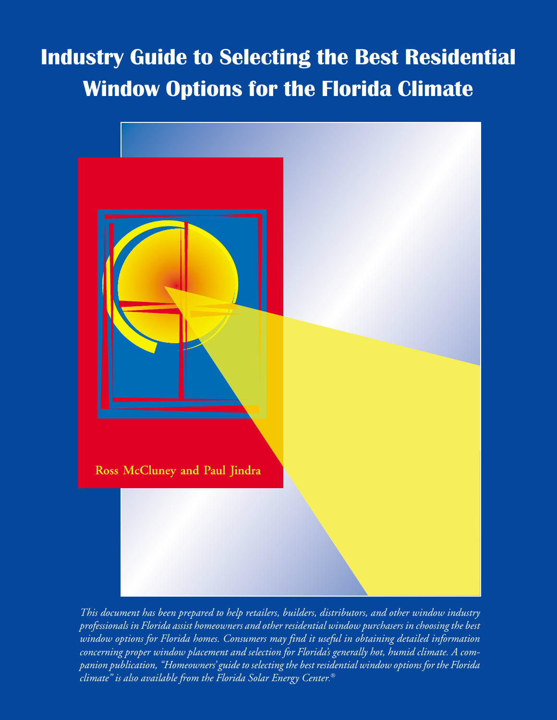# Industry Guide to Selecting the Best Residential **Window Options for the Florida Climate**



*This document has been prepared to help retailers, builders, distributors, and other window industry professionals in Florida assist homeowners and other residential window purchasers in choosing the best window options for Florida homes. Consumers may find it useful in obtaining detailed information concerning proper window placement and selection for Florida's generally hot, humid climate. A companion publication, "Homeowners' guide to selecting the best residential window options for the Florida climate" is also available from the Florida Solar Energy Center. ®*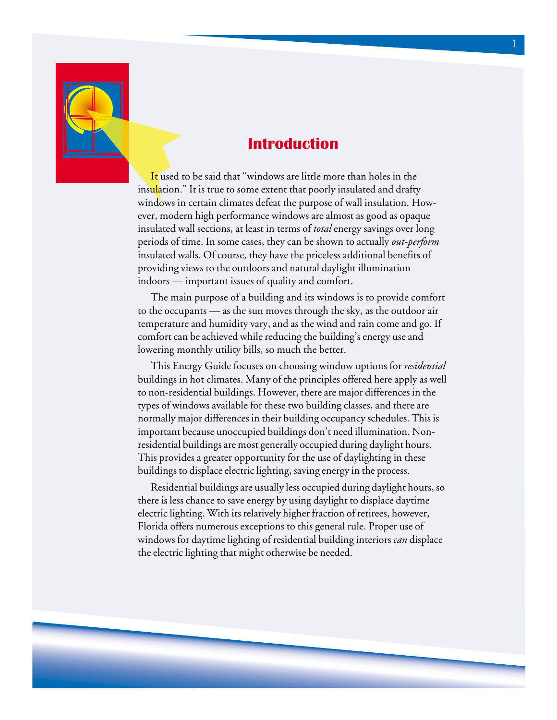

## **Introduction**

It used to be said that "windows are little more than holes in the insulation." It is true to some extent that poorly insulated and drafty windows in certain climates defeat the purpose of wall insulation. However, modern high performance windows are almost as good as opaque insulated wall sections, at least in terms of *total* energy savings over long periods of time. In some cases, they can be shown to actually *out-perform* insulated walls. Of course, they have the priceless additional benefits of providing views to the outdoors and natural daylight illumination indoors — important issues of quality and comfort.

The main purpose of a building and its windows is to provide comfort to the occupants — as the sun moves through the sky, as the outdoor air temperature and humidity vary, and as the wind and rain come and go. If comfort can be achieved while reducing the building's energy use and lowering monthly utility bills, so much the better.

This Energy Guide focuses on choosing window options for *residential* buildings in hot climates. Many of the principles offered here apply as well to non-residential buildings. However, there are major differences in the types of windows available for these two building classes, and there are normally major differences in their building occupancy schedules. This is important because unoccupied buildings don't need illumination. Nonresidential buildings are most generally occupied during daylight hours. This provides a greater opportunity for the use of daylighting in these buildings to displace electric lighting, saving energy in the process.

Residential buildings are usually less occupied during daylight hours, so there is less chance to save energy by using daylight to displace daytime electric lighting. With its relatively higher fraction of retirees, however, Florida offers numerous exceptions to this general rule. Proper use of windows for daytime lighting of residential building interiors *can* displace the electric lighting that might otherwise be needed.

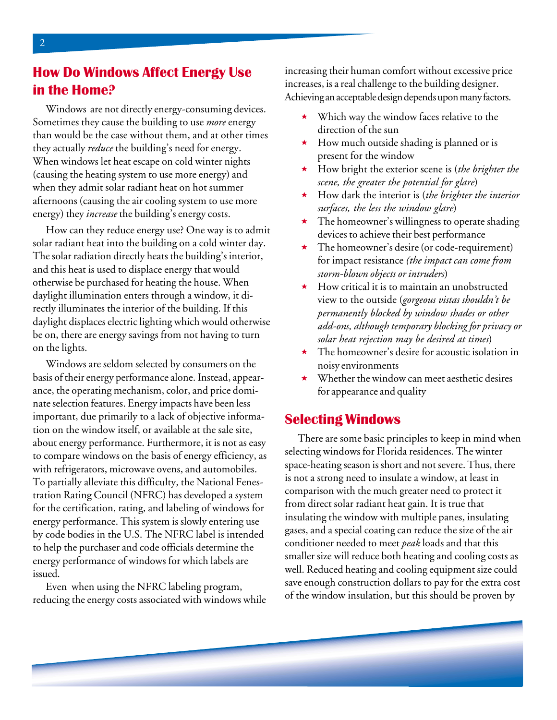## **How Do Windows Affect Energy Use** in the Home?

Windows are not directly energy-consuming devices. Sometimes they cause the building to use *more* energy than would be the case without them, and at other times they actually *reduce* the building's need for energy. When windows let heat escape on cold winter nights (causing the heating system to use more energy) and when they admit solar radiant heat on hot summer afternoons (causing the air cooling system to use more energy) they *increase* the building's energy costs.

How can they reduce energy use? One way is to admit solar radiant heat into the building on a cold winter day. The solar radiation directly heats the building's interior, and this heat is used to displace energy that would otherwise be purchased for heating the house. When daylight illumination enters through a window, it directly illuminates the interior of the building. If this daylight displaces electric lighting which would otherwise be on, there are energy savings from not having to turn on the lights.

Windows are seldom selected by consumers on the basis of their energy performance alone. Instead, appearance, the operating mechanism, color, and price dominate selection features. Energy impacts have been less important, due primarily to a lack of objective information on the window itself, or available at the sale site, about energy performance. Furthermore, it is not as easy to compare windows on the basis of energy efficiency, as with refrigerators, microwave ovens, and automobiles. To partially alleviate this difficulty, the National Fenestration Rating Council (NFRC) has developed a system for the certification, rating, and labeling of windows for energy performance. This system is slowly entering use by code bodies in the U.S. The NFRC label is intended to help the purchaser and code officials determine the energy performance of windows for which labels are issued.

Even when using the NFRC labeling program, reducing the energy costs associated with windows while increasing their human comfort without excessive price increases, is a real challenge to the building designer. Achieving an acceptable design depends upon many factors.

- Which way the window faces relative to the direction of the sun
- How much outside shading is planned or is present for the window
- How bright the exterior scene is (*the brighter the scene, the greater the potential for glare*)
- How dark the interior is (*the brighter the interior surfaces, the less the window glare*)
- The homeowner's willingness to operate shading devices to achieve their best performance
- The homeowner's desire (or code-requirement) for impact resistance *(the impact can come from storm-blown objects or intruders*)
- $\star$  How critical it is to maintain an unobstructed view to the outside (*gorgeous vistas shouldn't be permanently blocked by window shades or other add-ons, although temporary blocking for privacy or solar heat rejection may be desired at times*)
- $\star$  The homeowner's desire for acoustic isolation in noisy environments
- Whether the window can meet aesthetic desires for appearance and quality

#### **Selecting Windows**

There are some basic principles to keep in mind when selecting windows for Florida residences. The winter space-heating season is short and not severe. Thus, there is not a strong need to insulate a window, at least in comparison with the much greater need to protect it from direct solar radiant heat gain. It is true that insulating the window with multiple panes, insulating gases, and a special coating can reduce the size of the air conditioner needed to meet *peak* loads and that this smaller size will reduce both heating and cooling costs as well. Reduced heating and cooling equipment size could save enough construction dollars to pay for the extra cost of the window insulation, but this should be proven by



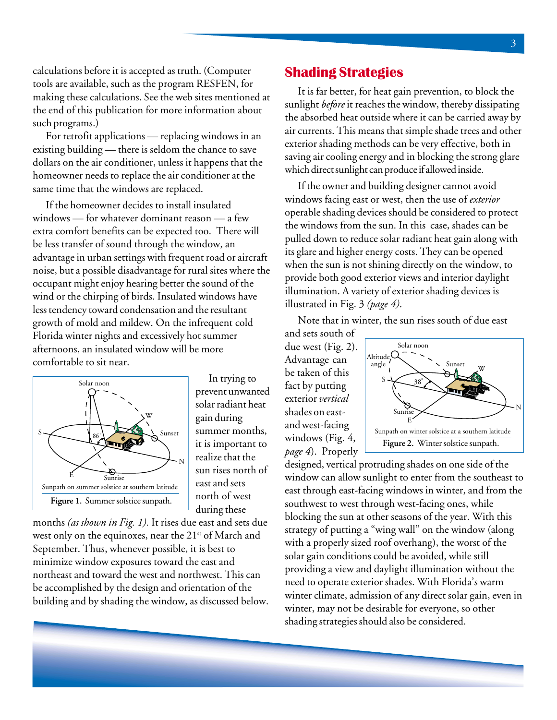calculations before it is accepted as truth. (Computer tools are available, such as the program RESFEN, for making these calculations. See the web sites mentioned at the end of this publication for more information about such programs.)

For retrofit applications — replacing windows in an existing building — there is seldom the chance to save dollars on the air conditioner, unless it happens that the homeowner needs to replace the air conditioner at the same time that the windows are replaced.

If the homeowner decides to install insulated windows — for whatever dominant reason — a few extra comfort benefits can be expected too. There will be less transfer of sound through the window, an advantage in urban settings with frequent road or aircraft noise, but a possible disadvantage for rural sites where the occupant might enjoy hearing better the sound of the wind or the chirping of birds. Insulated windows have less tendency toward condensation and the resultant growth of mold and mildew. On the infrequent cold Florida winter nights and excessively hot summer afternoons, an insulated window will be more comfortable to sit near.



In trying to prevent unwanted solar radiant heat gain during summer months, it is important to realize that the sun rises north of east and sets north of west during these

months *(as shown in Fig. 1).* It rises due east and sets due west only on the equinoxes, near the 21<sup>st</sup> of March and September. Thus, whenever possible, it is best to minimize window exposures toward the east and northeast and toward the west and northwest. This can be accomplished by the design and orientation of the building and by shading the window, as discussed below.

#### **Shading Strategies**

It is far better, for heat gain prevention, to block the sunlight *before* it reaches the window, thereby dissipating the absorbed heat outside where it can be carried away by air currents. This means that simple shade trees and other exterior shading methods can be very effective, both in saving air cooling energy and in blocking the strong glare which direct sunlight can produce if allowed inside.

If the owner and building designer cannot avoid windows facing east or west, then the use of *exterior* operable shading devices should be considered to protect the windows from the sun. In this case, shades can be pulled down to reduce solar radiant heat gain along with its glare and higher energy costs. They can be opened when the sun is not shining directly on the window, to provide both good exterior views and interior daylight illumination. A variety of exterior shading devices is illustrated in Fig. 3 *(page 4)*.

Note that in winter, the sun rises south of due east

and sets south of due west (Fig. 2). Advantage can be taken of this fact by putting exterior *vertical* shades on eastand west-facing windows (Fig. 4, *page 4*). Properly



designed, vertical protruding shades on one side of the window can allow sunlight to enter from the southeast to east through east-facing windows in winter, and from the southwest to west through west-facing ones, while blocking the sun at other seasons of the year. With this strategy of putting a "wing wall" on the window (along with a properly sized roof overhang), the worst of the solar gain conditions could be avoided, while still providing a view and daylight illumination without the need to operate exterior shades. With Florida's warm winter climate, admission of any direct solar gain, even in winter, may not be desirable for everyone, so other shading strategies should also be considered.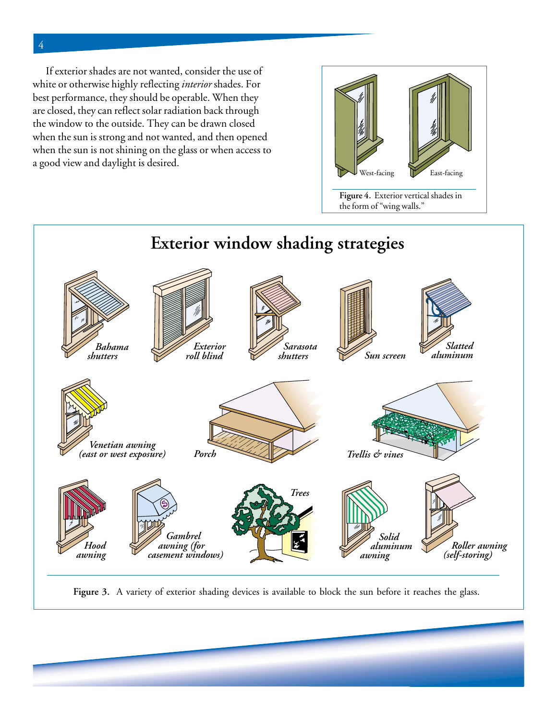If exterior shades are not wanted, consider the use of white or otherwise highly reflecting *interior* shades. For best performance, they should be operable. When they are closed, they can reflect solar radiation back through the window to the outside. They can be drawn closed when the sun is strong and not wanted, and then opened when the sun is not shining on the glass or when access to a good view and daylight is desired.



the form of "wing walls."



Figure 3. A variety of exterior shading devices is available to block the sun before it reaches the glass.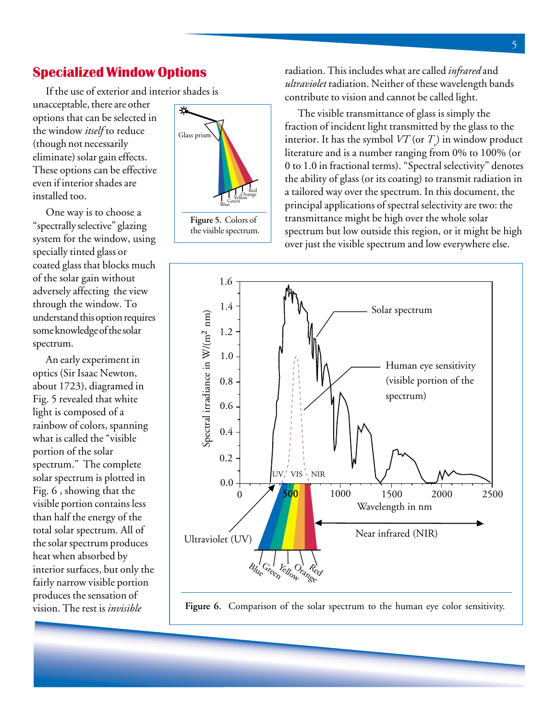#### **Specialized Window Options**

If the use of exterior and interior shades is

unacceptable, there are other options that can be selected in the window *itself* to reduce (though not necessarily eliminate) solar gain effects. These options can be effective even if interior shades are installed too.

One way is to choose a "spectrally selective" glazing system for the window, using specially tinted glass or coated glass that blocks much of the solar gain without adversely affecting the view through the window. To understand this option requires some knowledge of the solar spectrum.

An early experiment in optics (Sir Isaac Newton, about 1723), diagramed in Fig. 5 revealed that white light is composed of a rainbow of colors, spanning what is called the "visible portion of the solar spectrum." The complete solar spectrum is plotted in Fig. 6 , showing that the visible portion contains less than half the energy of the total solar spectrum. All of the solar spectrum produces heat when absorbed by interior surfaces, but only the fairly narrow visible portion produces the sensation of vision. The rest is *invisible*



the visible spectrum.

radiation. This includes what are called *infrared* and *ultraviolet* radiation. Neither of these wavelength bands contribute to vision and cannot be called light.

The visible transmittance of glass is simply the fraction of incident light transmitted by the glass to the interior. It has the symbol  $VT$  (or  $T_{\scriptscriptstyle \ell}$ ) in window product literature and is a number ranging from 0% to 100% (or 0 to 1.0 in fractional terms). "Spectral selectivity" denotes the ability of glass (or its coating) to transmit radiation in a tailored way over the spectrum. In this document, the principal applications of spectral selectivity are two: the transmittance might be high over the whole solar spectrum but low outside this region, or it might be high over just the visible spectrum and low everywhere else.



Figure 6. Comparison of the solar spectrum to the human eye color sensitivity.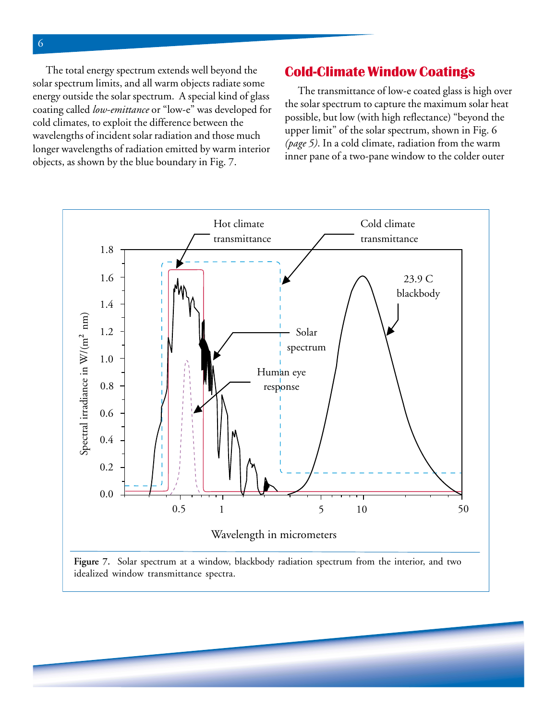The total energy spectrum extends well beyond the solar spectrum limits, and all warm objects radiate some energy outside the solar spectrum. A special kind of glass coating called *low-emittance* or "low-e" was developed for cold climates, to exploit the difference between the wavelengths of incident solar radiation and those much longer wavelengths of radiation emitted by warm interior objects, as shown by the blue boundary in Fig. 7.

#### **Cold-Climate Window Coatings**

The transmittance of low-e coated glass is high over the solar spectrum to capture the maximum solar heat possible, but low (with high reflectance) "beyond the upper limit" of the solar spectrum, shown in Fig. 6 *(page 5)*. In a cold climate, radiation from the warm inner pane of a two-pane window to the colder outer

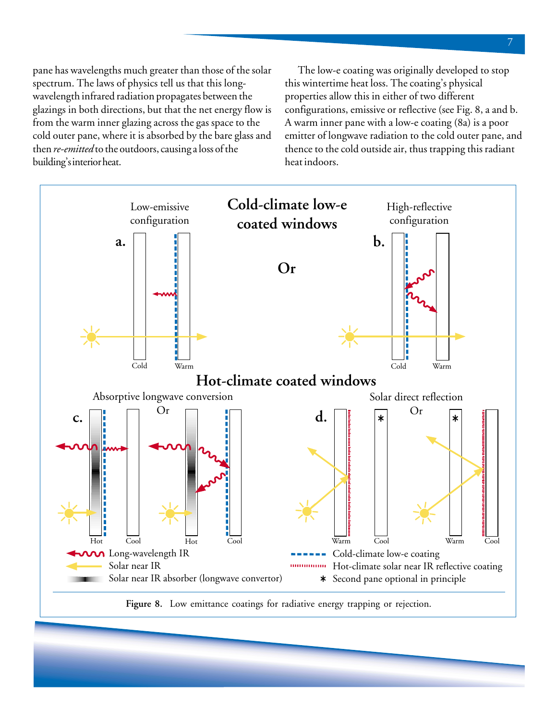pane has wavelengths much greater than those of the solar spectrum. The laws of physics tell us that this longwavelength infrared radiation propagates between the glazings in both directions, but that the net energy flow is from the warm inner glazing across the gas space to the cold outer pane, where it is absorbed by the bare glass and then *re-emitted* to the outdoors, causing a loss of the building's interior heat.

The low-e coating was originally developed to stop this wintertime heat loss. The coating's physical properties allow this in either of two different configurations, emissive or reflective (see Fig. 8, a and b. A warm inner pane with a low-e coating (8a) is a poor emitter of longwave radiation to the cold outer pane, and thence to the cold outside air, thus trapping this radiant heat indoors.

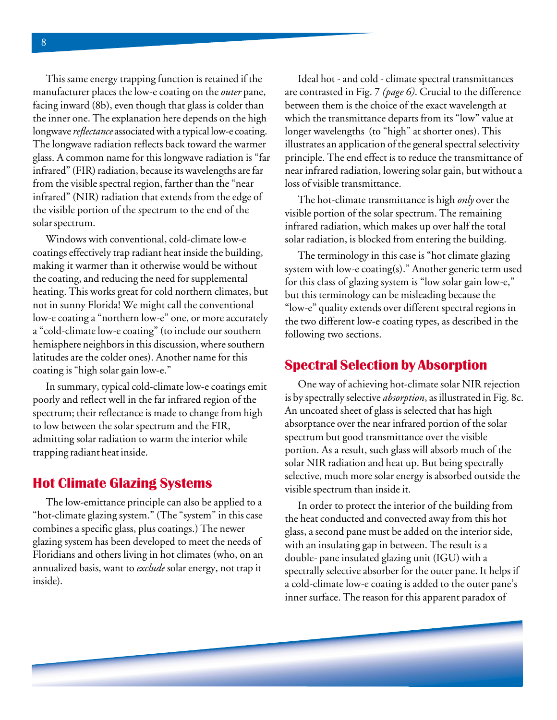infrared" (NIR) radiation that extends from the edge of the visible portion of the spectrum to the end of the solar spectrum. This same energy trapping function is retained if the manufacturer places the low-e coating on the *outer* pane, facing inward (8b), even though that glass is colder than the inner one. The explanation here depends on the high longwave *reflectance* associated with a typical low-e coating. The longwave radiation reflects back toward the warmer glass. A common name for this longwave radiation is "far infrared" (FIR) radiation, because its wavelengths are far from the visible spectral region, farther than the "near

Windows with conventional, cold-climate low-e coatings effectively trap radiant heat inside the building, making it warmer than it otherwise would be without the coating, and reducing the need for supplemental heating. This works great for cold northern climates, but not in sunny Florida! We might call the conventional low-e coating a "northern low-e" one, or more accurately a "cold-climate low-e coating" (to include our southern hemisphere neighbors in this discussion, where southern latitudes are the colder ones). Another name for this coating is "high solar gain low-e."

In summary, typical cold-climate low-e coatings emit poorly and reflect well in the far infrared region of the spectrum; their reflectance is made to change from high to low between the solar spectrum and the FIR, admitting solar radiation to warm the interior while trapping radiant heat inside.

#### **Hot Climate Glazing Systems**

The low-emittance principle can also be applied to a "hot-climate glazing system." (The "system" in this case combines a specific glass, plus coatings.) The newer glazing system has been developed to meet the needs of Floridians and others living in hot climates (who, on an annualized basis, want to *exclude* solar energy, not trap it inside).

Ideal hot - and cold - climate spectral transmittances are contrasted in Fig. 7 *(page 6)*. Crucial to the difference between them is the choice of the exact wavelength at which the transmittance departs from its "low" value at longer wavelengths (to "high" at shorter ones). This illustrates an application of the general spectral selectivity principle. The end effect is to reduce the transmittance of near infrared radiation, lowering solar gain, but without a loss of visible transmittance.

The hot-climate transmittance is high *only* over the visible portion of the solar spectrum. The remaining infrared radiation, which makes up over half the total solar radiation, is blocked from entering the building.

The terminology in this case is "hot climate glazing system with low-e coating(s)." Another generic term used for this class of glazing system is "low solar gain low-e," but this terminology can be misleading because the "low-e" quality extends over different spectral regions in the two different low-e coating types, as described in the following two sections.

#### **Spectral Selection by Absorption**

One way of achieving hot-climate solar NIR rejection is by spectrally selective *absorption*, as illustrated in Fig. 8c. An uncoated sheet of glass is selected that has high absorptance over the near infrared portion of the solar spectrum but good transmittance over the visible portion. As a result, such glass will absorb much of the solar NIR radiation and heat up. But being spectrally selective, much more solar energy is absorbed outside the visible spectrum than inside it.

In order to protect the interior of the building from the heat conducted and convected away from this hot glass, a second pane must be added on the interior side, with an insulating gap in between. The result is a double- pane insulated glazing unit (IGU) with a spectrally selective absorber for the outer pane. It helps if a cold-climate low-e coating is added to the outer pane's inner surface. The reason for this apparent paradox of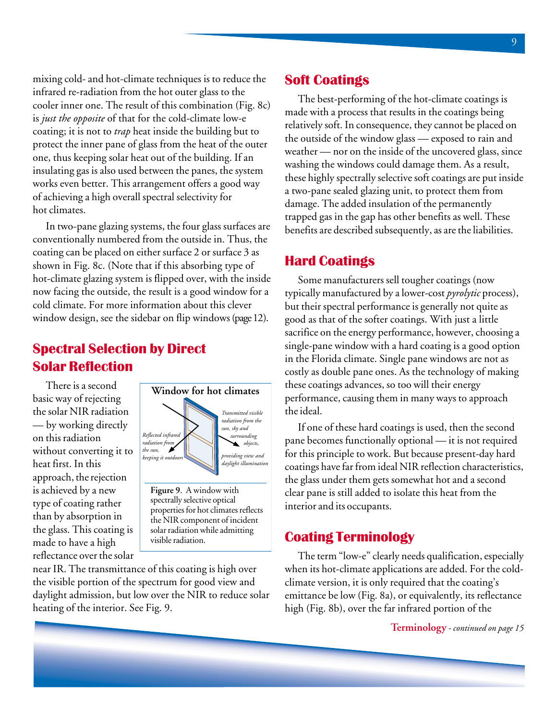mixing cold- and hot-climate techniques is to reduce the infrared re-radiation from the hot outer glass to the cooler inner one. The result of this combination (Fig. 8c) is *just the opposite* of that for the cold-climate low-e coating; it is not to *trap* heat inside the building but to protect the inner pane of glass from the heat of the outer one, thus keeping solar heat out of the building. If an insulating gas is also used between the panes, the system works even better. This arrangement offers a good way of achieving a high overall spectral selectivity for hot climates.

In two-pane glazing systems, the four glass surfaces are conventionally numbered from the outside in. Thus, the coating can be placed on either surface 2 or surface 3 as shown in Fig. 8c. (Note that if this absorbing type of hot-climate glazing system is flipped over, with the inside now facing the outside, the result is a good window for a cold climate. For more information about this clever window design, see the sidebar on flip windows (page 12).

## **Spectral Selection by Direct Solar Reflection**

There is a second basic way of rejecting the solar NIR radiation — by working directly on this radiation without converting it to heat first. In this approach, the rejection is achieved by a new type of coating rather than by absorption in the glass. This coating is made to have a high reflectance over the solar



**Figure 9**. A window with spectrally selective optical properties for hot climates reflects the NIR component of incident solar radiation while admitting visible radiation.

near IR. The transmittance of this coating is high over the visible portion of the spectrum for good view and daylight admission, but low over the NIR to reduce solar heating of the interior. See Fig. 9.

### **Soft Coatings**

The best-performing of the hot-climate coatings is made with a process that results in the coatings being relatively soft. In consequence, they cannot be placed on the outside of the window glass — exposed to rain and weather — nor on the inside of the uncovered glass, since washing the windows could damage them. As a result, these highly spectrally selective soft coatings are put inside a two-pane sealed glazing unit, to protect them from damage. The added insulation of the permanently trapped gas in the gap has other benefits as well. These benefits are described subsequently, as are the liabilities.

### **Hard Coatings**

Some manufacturers sell tougher coatings (now typically manufactured by a lower-cost *pyrolytic* process), but their spectral performance is generally not quite as good as that of the softer coatings. With just a little sacrifice on the energy performance, however, choosing a single-pane window with a hard coating is a good option in the Florida climate. Single pane windows are not as costly as double pane ones. As the technology of making these coatings advances, so too will their energy performance, causing them in many ways to approach the ideal.

If one of these hard coatings is used, then the second pane becomes functionally optional — it is not required for this principle to work. But because present-day hard coatings have far from ideal NIR reflection characteristics, the glass under them gets somewhat hot and a second clear pane is still added to isolate this heat from the interior and its occupants.

### **Coating Terminology**

The term "low-e" clearly needs qualification, especially when its hot-climate applications are added. For the coldclimate version, it is only required that the coating's emittance be low (Fig. 8a), or equivalently, its reflectance high (Fig. 8b), over the far infrared portion of the

**Terminology** *- continued on page 15*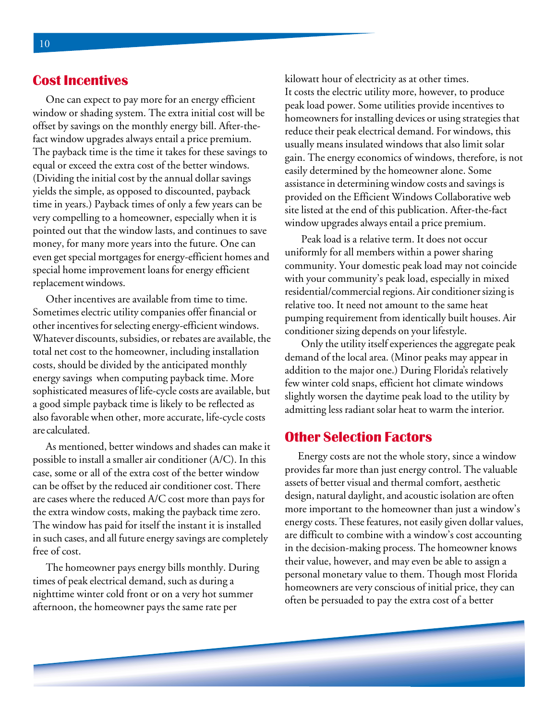#### **Cost Incentives**

One can expect to pay more for an energy efficient window or shading system. The extra initial cost will be offset by savings on the monthly energy bill. After-thefact window upgrades always entail a price premium. The payback time is the time it takes for these savings to equal or exceed the extra cost of the better windows. (Dividing the initial cost by the annual dollar savings yields the simple, as opposed to discounted, payback time in years.) Payback times of only a few years can be very compelling to a homeowner, especially when it is pointed out that the window lasts, and continues to save money, for many more years into the future. One can even get special mortgages for energy-efficient homes and special home improvement loans for energy efficient replacement windows.

Other incentives are available from time to time. Sometimes electric utility companies offer financial or other incentives for selecting energy-efficient windows. Whatever discounts, subsidies, or rebates are available, the total net cost to the homeowner, including installation costs, should be divided by the anticipated monthly energy savings when computing payback time. More sophisticated measures of life-cycle costs are available, but a good simple payback time is likely to be reflected as also favorable when other, more accurate, life-cycle costs are calculated.

As mentioned, better windows and shades can make it possible to install a smaller air conditioner (A/C). In this case, some or all of the extra cost of the better window can be offset by the reduced air conditioner cost. There are cases where the reduced A/C cost more than pays for the extra window costs, making the payback time zero. The window has paid for itself the instant it is installed in such cases, and all future energy savings are completely free of cost.

The homeowner pays energy bills monthly. During times of peak electrical demand, such as during a nighttime winter cold front or on a very hot summer afternoon, the homeowner pays the same rate per

kilowatt hour of electricity as at other times. It costs the electric utility more, however, to produce peak load power. Some utilities provide incentives to homeowners for installing devices or using strategies that reduce their peak electrical demand. For windows, this usually means insulated windows that also limit solar gain. The energy economics of windows, therefore, is not easily determined by the homeowner alone. Some assistance in determining window costs and savings is provided on the Efficient Windows Collaborative web site listed at the end of this publication. After-the-fact window upgrades always entail a price premium.

Peak load is a relative term. It does not occur uniformly for all members within a power sharing community. Your domestic peak load may not coincide with your community's peak load, especially in mixed residential/commercial regions. Air conditioner sizing is relative too. It need not amount to the same heat pumping requirement from identically built houses. Air conditioner sizing depends on your lifestyle.

Only the utility itself experiences the aggregate peak demand of the local area. (Minor peaks may appear in addition to the major one.) During Florida's relatively few winter cold snaps, efficient hot climate windows slightly worsen the daytime peak load to the utility by admitting less radiant solar heat to warm the interior.

#### **Other Selection Factors**

Energy costs are not the whole story, since a window provides far more than just energy control. The valuable assets of better visual and thermal comfort, aesthetic design, natural daylight, and acoustic isolation are often more important to the homeowner than just a window's energy costs. These features, not easily given dollar values, are difficult to combine with a window's cost accounting in the decision-making process. The homeowner knows their value, however, and may even be able to assign a personal monetary value to them. Though most Florida homeowners are very conscious of initial price, they can often be persuaded to pay the extra cost of a better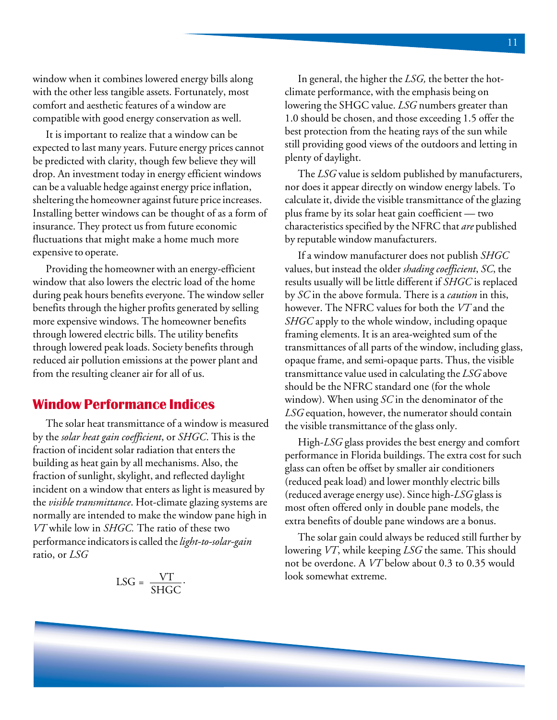window when it combines lowered energy bills along with the other less tangible assets. Fortunately, most comfort and aesthetic features of a window are compatible with good energy conservation as well.

It is important to realize that a window can be expected to last many years. Future energy prices cannot be predicted with clarity, though few believe they will drop. An investment today in energy efficient windows can be a valuable hedge against energy price inflation, sheltering the homeowner against future price increases. Installing better windows can be thought of as a form of insurance. They protect us from future economic fluctuations that might make a home much more expensive to operate.

Providing the homeowner with an energy-efficient window that also lowers the electric load of the home during peak hours benefits everyone. The window seller benefits through the higher profits generated by selling more expensive windows. The homeowner benefits through lowered electric bills. The utility benefits through lowered peak loads. Society benefits through reduced air pollution emissions at the power plant and from the resulting cleaner air for all of us.

#### **Window Performance Indices**

The solar heat transmittance of a window is measured by the *solar heat gain coefficient*, or *SHGC*. This is the fraction of incident solar radiation that enters the building as heat gain by all mechanisms. Also, the fraction of sunlight, skylight, and reflected daylight incident on a window that enters as light is measured by the *visible transmittance*. Hot-climate glazing systems are normally are intended to make the window pane high in *VT* while low in *SHGC.* The ratio of these two performance indicators is called the *light-to-solar-gain* ratio, or *LSG*

$$
LSG = \frac{VT}{SHGC}.
$$

In general, the higher the *LSG,* the better the hotclimate performance, with the emphasis being on lowering the SHGC value. *LSG* numbers greater than 1.0 should be chosen, and those exceeding 1.5 offer the best protection from the heating rays of the sun while still providing good views of the outdoors and letting in plenty of daylight.

The *LSG* value is seldom published by manufacturers, nor does it appear directly on window energy labels. To calculate it, divide the visible transmittance of the glazing plus frame by its solar heat gain coefficient — two characteristics specified by the NFRC that *are* published by reputable window manufacturers.

If a window manufacturer does not publish *SHGC* values, but instead the older *shading coefficient*, *SC*, the results usually will be little different if *SHGC* is replaced by *SC* in the above formula. There is a *caution* in this, however. The NFRC values for both the *VT* and the *SHGC* apply to the whole window, including opaque framing elements. It is an area-weighted sum of the transmittances of all parts of the window, including glass, opaque frame, and semi-opaque parts. Thus, the visible transmittance value used in calculating the *LSG* above should be the NFRC standard one (for the whole window). When using *SC* in the denominator of the *LSG* equation, however, the numerator should contain the visible transmittance of the glass only.

High-*LSG* glass provides the best energy and comfort performance in Florida buildings. The extra cost for such glass can often be offset by smaller air conditioners (reduced peak load) and lower monthly electric bills (reduced average energy use). Since high-*LSG* glass is most often offered only in double pane models, the extra benefits of double pane windows are a bonus.

The solar gain could always be reduced still further by lowering *VT*, while keeping *LSG* the same. This should not be overdone. A *VT* below about 0.3 to 0.35 would look somewhat extreme.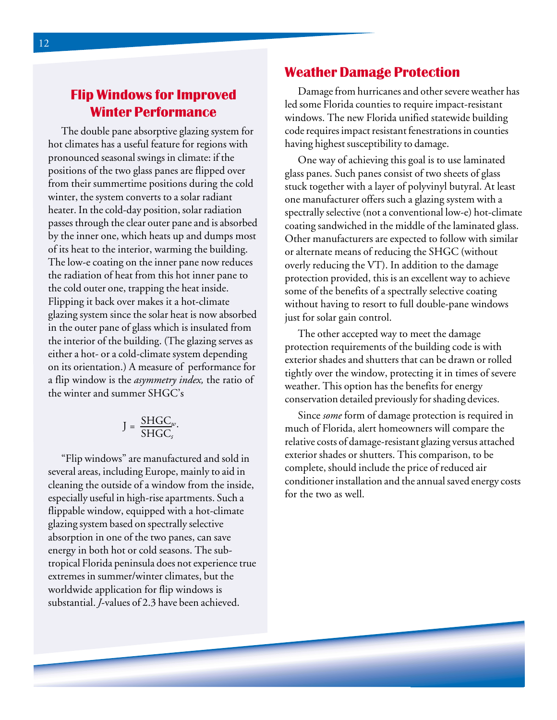## **Flip Windows for Improved** Winter Performance

The double pane absorptive glazing system for hot climates has a useful feature for regions with pronounced seasonal swings in climate: if the positions of the two glass panes are flipped over from their summertime positions during the cold winter, the system converts to a solar radiant heater. In the cold-day position, solar radiation passes through the clear outer pane and is absorbed by the inner one, which heats up and dumps most of its heat to the interior, warming the building. The low-e coating on the inner pane now reduces the radiation of heat from this hot inner pane to the cold outer one, trapping the heat inside. Flipping it back over makes it a hot-climate glazing system since the solar heat is now absorbed in the outer pane of glass which is insulated from the interior of the building. (The glazing serves as either a hot- or a cold-climate system depending on its orientation.) A measure of performance for a flip window is the *asymmetry index,* the ratio of the winter and summer SHGC's

$$
J = \frac{\text{SHGC}_{w}}{\text{SHGC}_{s}}.
$$

"Flip windows" are manufactured and sold in several areas, including Europe, mainly to aid in cleaning the outside of a window from the inside, especially useful in high-rise apartments. Such a flippable window, equipped with a hot-climate glazing system based on spectrally selective absorption in one of the two panes, can save energy in both hot or cold seasons. The subtropical Florida peninsula does not experience true extremes in summer/winter climates, but the worldwide application for flip windows is substantial. *J*-values of 2.3 have been achieved.

#### Weather Damage Protection

Damage from hurricanes and other severe weather has led some Florida counties to require impact-resistant windows. The new Florida unified statewide building code requires impact resistant fenestrations in counties having highest susceptibility to damage.

One way of achieving this goal is to use laminated glass panes. Such panes consist of two sheets of glass stuck together with a layer of polyvinyl butyral. At least one manufacturer offers such a glazing system with a spectrally selective (not a conventional low-e) hot-climate coating sandwiched in the middle of the laminated glass. Other manufacturers are expected to follow with similar or alternate means of reducing the SHGC (without overly reducing the VT). In addition to the damage protection provided, this is an excellent way to achieve some of the benefits of a spectrally selective coating without having to resort to full double-pane windows just for solar gain control.

The other accepted way to meet the damage protection requirements of the building code is with exterior shades and shutters that can be drawn or rolled tightly over the window, protecting it in times of severe weather. This option has the benefits for energy conservation detailed previously for shading devices.

Since *some* form of damage protection is required in much of Florida, alert homeowners will compare the relative costs of damage-resistant glazing versus attached exterior shades or shutters. This comparison, to be complete, should include the price of reduced air conditioner installation and the annual saved energy costs for the two as well.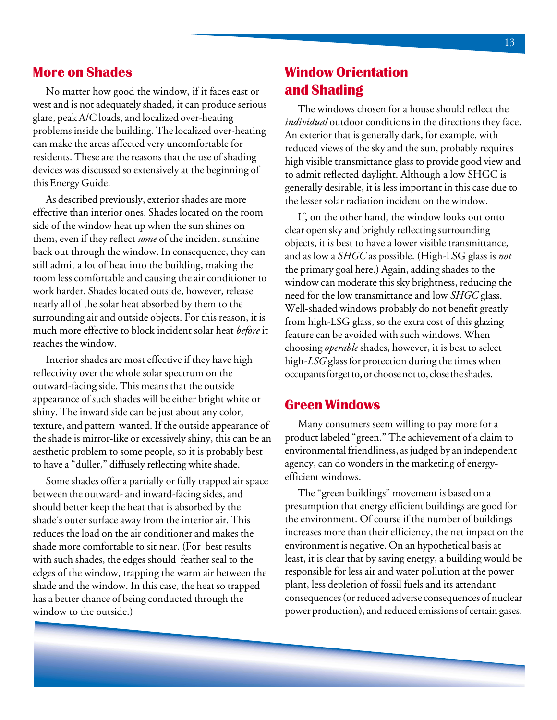#### **More on Shades**

No matter how good the window, if it faces east or west and is not adequately shaded, it can produce serious glare, peak A/C loads, and localized over-heating problems inside the building. The localized over-heating can make the areas affected very uncomfortable for residents. These are the reasons that the use of shading devices was discussed so extensively at the beginning of this Energy Guide.

As described previously, exterior shades are more effective than interior ones. Shades located on the room side of the window heat up when the sun shines on them, even if they reflect *some* of the incident sunshine back out through the window. In consequence, they can still admit a lot of heat into the building, making the room less comfortable and causing the air conditioner to work harder. Shades located outside, however, release nearly all of the solar heat absorbed by them to the surrounding air and outside objects. For this reason, it is much more effective to block incident solar heat *before* it reaches the window.

Interior shades are most effective if they have high reflectivity over the whole solar spectrum on the outward-facing side. This means that the outside appearance of such shades will be either bright white or shiny. The inward side can be just about any color, texture, and pattern wanted. If the outside appearance of the shade is mirror-like or excessively shiny, this can be an aesthetic problem to some people, so it is probably best to have a "duller," diffusely reflecting white shade.

Some shades offer a partially or fully trapped air space between the outward- and inward-facing sides, and should better keep the heat that is absorbed by the shade's outer surface away from the interior air. This reduces the load on the air conditioner and makes the shade more comfortable to sit near. (For best results with such shades, the edges should feather seal to the edges of the window, trapping the warm air between the shade and the window. In this case, the heat so trapped has a better chance of being conducted through the window to the outside.)

### **Window Orientation** and Shading

The windows chosen for a house should reflect the *individual* outdoor conditions in the directions they face. An exterior that is generally dark, for example, with reduced views of the sky and the sun, probably requires high visible transmittance glass to provide good view and to admit reflected daylight. Although a low SHGC is generally desirable, it is less important in this case due to the lesser solar radiation incident on the window.

If, on the other hand, the window looks out onto clear open sky and brightly reflecting surrounding objects, it is best to have a lower visible transmittance, and as low a *SHGC* as possible. (High-LSG glass is *not* the primary goal here.) Again, adding shades to the window can moderate this sky brightness, reducing the need for the low transmittance and low *SHGC* glass. Well-shaded windows probably do not benefit greatly from high-LSG glass, so the extra cost of this glazing feature can be avoided with such windows. When choosing *operable* shades, however, it is best to select high-*LSG* glass for protection during the times when occupants forget to, or choose not to, close the shades.

#### **Green Windows**

Many consumers seem willing to pay more for a product labeled "green." The achievement of a claim to environmental friendliness, as judged by an independent agency, can do wonders in the marketing of energyefficient windows.

The "green buildings" movement is based on a presumption that energy efficient buildings are good for the environment. Of course if the number of buildings increases more than their efficiency, the net impact on the environment is negative. On an hypothetical basis at least, it is clear that by saving energy, a building would be responsible for less air and water pollution at the power plant, less depletion of fossil fuels and its attendant consequences (or reduced adverse consequences of nuclear power production), and reduced emissions of certain gases.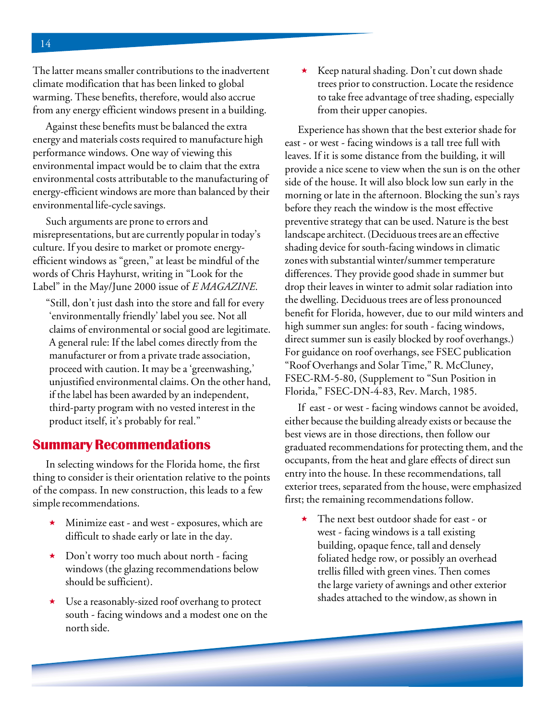The latter means smaller contributions to the inadvertent climate modification that has been linked to global warming. These benefits, therefore, would also accrue from any energy efficient windows present in a building.

Against these benefits must be balanced the extra energy and materials costs required to manufacture high performance windows. One way of viewing this environmental impact would be to claim that the extra environmental costs attributable to the manufacturing of energy-efficient windows are more than balanced by their environmental life-cycle savings.

Such arguments are prone to errors and misrepresentations, but are currently popular in today's culture. If you desire to market or promote energyefficient windows as "green," at least be mindful of the words of Chris Hayhurst, writing in "Look for the Label" in the May/June 2000 issue of *E MAGAZINE*.

"Still, don't just dash into the store and fall for every 'environmentally friendly' label you see. Not all claims of environmental or social good are legitimate. A general rule: If the label comes directly from the manufacturer or from a private trade association, proceed with caution. It may be a 'greenwashing,' unjustified environmental claims. On the other hand, if the label has been awarded by an independent, third-party program with no vested interest in the product itself, it's probably for real."

#### **Summary Recommendations**

In selecting windows for the Florida home, the first thing to consider is their orientation relative to the points of the compass. In new construction, this leads to a few simple recommendations.

- Minimize east and west exposures, which are difficult to shade early or late in the day.
- ★ Don't worry too much about north facing windows (the glazing recommendations below should be sufficient).
- Use a reasonably-sized roof overhang to protect south - facing windows and a modest one on the north side.

 Keep natural shading. Don't cut down shade trees prior to construction. Locate the residence to take free advantage of tree shading, especially from their upper canopies.

Experience has shown that the best exterior shade for east - or west - facing windows is a tall tree full with leaves. If it is some distance from the building, it will provide a nice scene to view when the sun is on the other side of the house. It will also block low sun early in the morning or late in the afternoon. Blocking the sun's rays before they reach the window is the most effective preventive strategy that can be used. Nature is the best landscape architect. (Deciduous trees are an effective shading device for south-facing windows in climatic zones with substantial winter/summer temperature differences. They provide good shade in summer but drop their leaves in winter to admit solar radiation into the dwelling. Deciduous trees are of less pronounced benefit for Florida, however, due to our mild winters and high summer sun angles: for south - facing windows, direct summer sun is easily blocked by roof overhangs.) For guidance on roof overhangs, see FSEC publication "Roof Overhangs and Solar Time," R. McCluney, FSEC-RM-5-80, (Supplement to "Sun Position in Florida," FSEC-DN-4-83, Rev. March, 1985.

If east - or west - facing windows cannot be avoided, either because the building already exists or because the best views are in those directions, then follow our graduated recommendations for protecting them, and the occupants, from the heat and glare effects of direct sun entry into the house. In these recommendations, tall exterior trees, separated from the house, were emphasized first; the remaining recommendations follow.

 The next best outdoor shade for east - or west - facing windows is a tall existing building, opaque fence, tall and densely foliated hedge row, or possibly an overhead trellis filled with green vines. Then comes the large variety of awnings and other exterior shades attached to the window, as shown in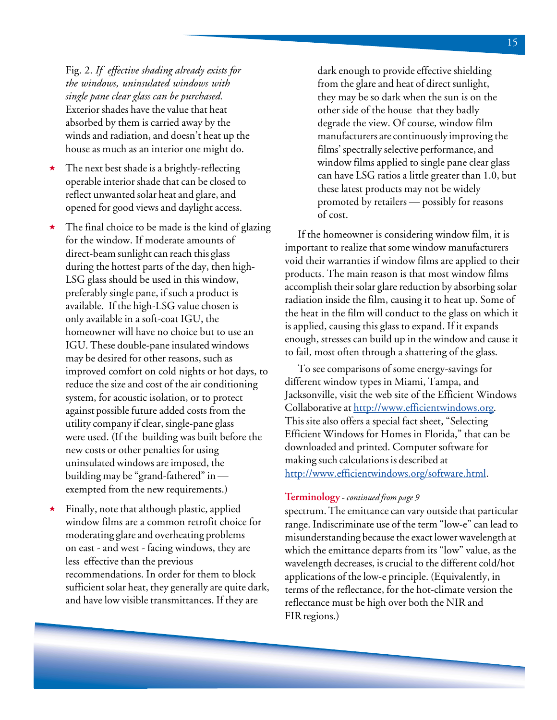Fig. 2. *If effective shading already exists for the windows, uninsulated windows with single pane clear glass can be purchased.* Exterior shades have the value that heat absorbed by them is carried away by the winds and radiation, and doesn't heat up the house as much as an interior one might do.

- The next best shade is a brightly-reflecting operable interior shade that can be closed to reflect unwanted solar heat and glare, and opened for good views and daylight access.
- The final choice to be made is the kind of glazing for the window. If moderate amounts of direct-beam sunlight can reach this glass during the hottest parts of the day, then high-LSG glass should be used in this window, preferably single pane, if such a product is available. If the high-LSG value chosen is only available in a soft-coat IGU, the homeowner will have no choice but to use an IGU. These double-pane insulated windows may be desired for other reasons, such as improved comfort on cold nights or hot days, to reduce the size and cost of the air conditioning system, for acoustic isolation, or to protect against possible future added costs from the utility company if clear, single-pane glass were used. (If the building was built before the new costs or other penalties for using uninsulated windows are imposed, the building may be "grand-fathered" in exempted from the new requirements.)
- Finally, note that although plastic, applied window films are a common retrofit choice for moderating glare and overheating problems on east - and west - facing windows, they are less effective than the previous recommendations. In order for them to block sufficient solar heat, they generally are quite dark, and have low visible transmittances. If they are

dark enough to provide effective shielding from the glare and heat of direct sunlight, they may be so dark when the sun is on the other side of the house that they badly degrade the view. Of course, window film manufacturers are continuously improving the films' spectrally selective performance, and window films applied to single pane clear glass can have LSG ratios a little greater than 1.0, but these latest products may not be widely promoted by retailers — possibly for reasons of cost.

If the homeowner is considering window film, it is important to realize that some window manufacturers void their warranties if window films are applied to their products. The main reason is that most window films accomplish their solar glare reduction by absorbing solar radiation inside the film, causing it to heat up. Some of the heat in the film will conduct to the glass on which it is applied, causing this glass to expand. If it expands enough, stresses can build up in the window and cause it to fail, most often through a shattering of the glass.

To see comparisons of some energy-savings for different window types in Miami, Tampa, and Jacksonville, visit the web site of the Efficient Windows Collaborative at http://www.efficientwindows.org. This site also offers a special fact sheet, "Selecting Efficient Windows for Homes in Florida," that can be downloaded and printed. Computer software for making such calculations is described at http://www.efficientwindows.org/software.html.

#### **Terminology** - *continued from page 9*

spectrum. The emittance can vary outside that particular range. Indiscriminate use of the term "low-e" can lead to misunderstanding because the exact lower wavelength at which the emittance departs from its "low" value, as the wavelength decreases, is crucial to the different cold/hot applications of the low-e principle. (Equivalently, in terms of the reflectance, for the hot-climate version the reflectance must be high over both the NIR and FIR regions.)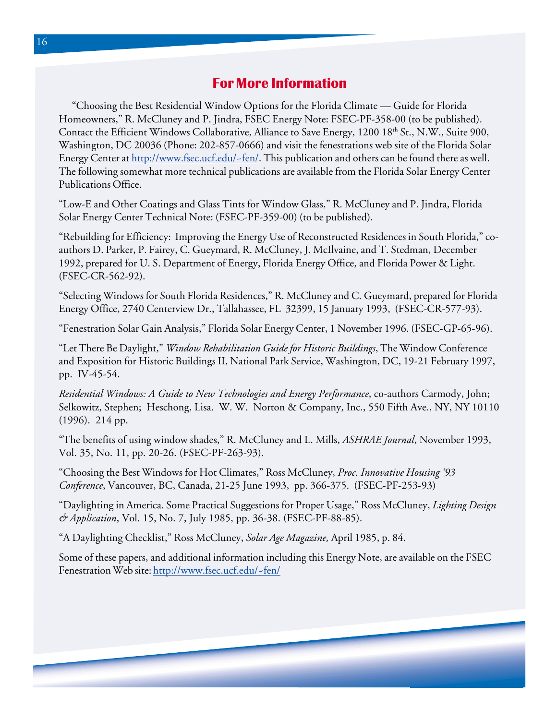### **For More Information**

"Choosing the Best Residential Window Options for the Florida Climate — Guide for Florida Homeowners," R. McCluney and P. Jindra, FSEC Energy Note: FSEC-PF-358-00 (to be published). Contact the Efficient Windows Collaborative, Alliance to Save Energy, 1200 18<sup>th</sup> St., N.W., Suite 900, Washington, DC 20036 (Phone: 202-857-0666) and visit the fenestrations web site of the Florida Solar Energy Center at http://www.fsec.ucf.edu/~fen/. This publication and others can be found there as well. The following somewhat more technical publications are available from the Florida Solar Energy Center Publications Office.

"Low-E and Other Coatings and Glass Tints for Window Glass," R. McCluney and P. Jindra, Florida Solar Energy Center Technical Note: (FSEC-PF-359-00) (to be published).

"Rebuilding for Efficiency: Improving the Energy Use of Reconstructed Residences in South Florida," coauthors D. Parker, P. Fairey, C. Gueymard, R. McCluney, J. McIlvaine, and T. Stedman, December 1992, prepared for U. S. Department of Energy, Florida Energy Office, and Florida Power & Light. (FSEC-CR-562-92).

"Selecting Windows for South Florida Residences," R. McCluney and C. Gueymard, prepared for Florida Energy Office, 2740 Centerview Dr., Tallahassee, FL 32399, 15 January 1993, (FSEC-CR-577-93).

"Fenestration Solar Gain Analysis," Florida Solar Energy Center, 1 November 1996. (FSEC-GP-65-96).

"Let There Be Daylight," *Window Rehabilitation Guide for Historic Buildings*, The Window Conference and Exposition for Historic Buildings II, National Park Service, Washington, DC, 19-21 February 1997, pp. IV-45-54.

*Residential Windows: A Guide to New Technologies and Energy Performance*, co-authors Carmody, John; Selkowitz, Stephen; Heschong, Lisa. W. W. Norton & Company, Inc., 550 Fifth Ave., NY, NY 10110 (1996). 214 pp.

"The benefits of using window shades," R. McCluney and L. Mills, *ASHRAE Journal*, November 1993, Vol. 35, No. 11, pp. 20-26. (FSEC-PF-263-93).

"Choosing the Best Windows for Hot Climates," Ross McCluney, *Proc. Innovative Housing '93 Conference*, Vancouver, BC, Canada, 21-25 June 1993, pp. 366-375. (FSEC-PF-253-93)

"Daylighting in America. Some Practical Suggestions for Proper Usage," Ross McCluney, *Lighting Design & Application*, Vol. 15, No. 7, July 1985, pp. 36-38. (FSEC-PF-88-85).

"A Daylighting Checklist," Ross McCluney, *Solar Age Magazine,* April 1985, p. 84.

Some of these papers, and additional information including this Energy Note, are available on the FSEC Fenestration Web site: http://www.fsec.ucf.edu/~fen/